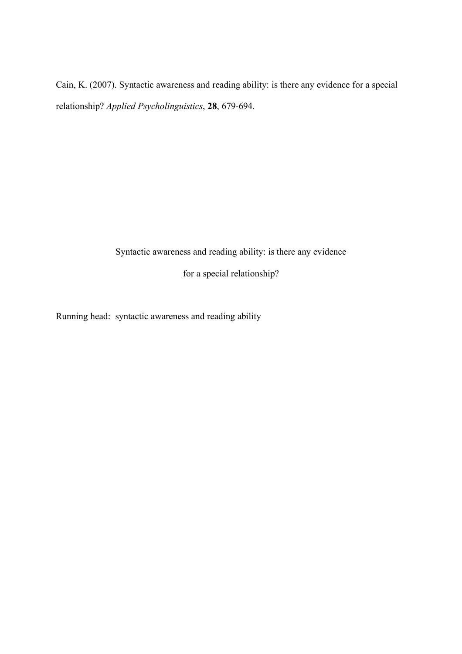Cain, K. (2007). Syntactic awareness and reading ability: is there any evidence for a special relationship? *Applied Psycholinguistics*, **28**, 679-694.

Syntactic awareness and reading ability: is there any evidence

for a special relationship?

Running head: syntactic awareness and reading ability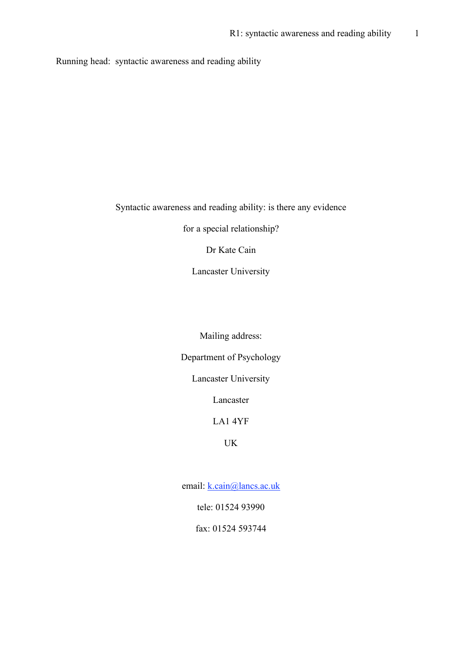Running head: syntactic awareness and reading ability

# Syntactic awareness and reading ability: is there any evidence

for a special relationship?

Dr Kate Cain

Lancaster University

Mailing address:

Department of Psychology

Lancaster University

Lancaster

## LA1 4YF

# UK

email: k.cain@lancs.ac.uk

tele: 01524 93990

fax: 01524 593744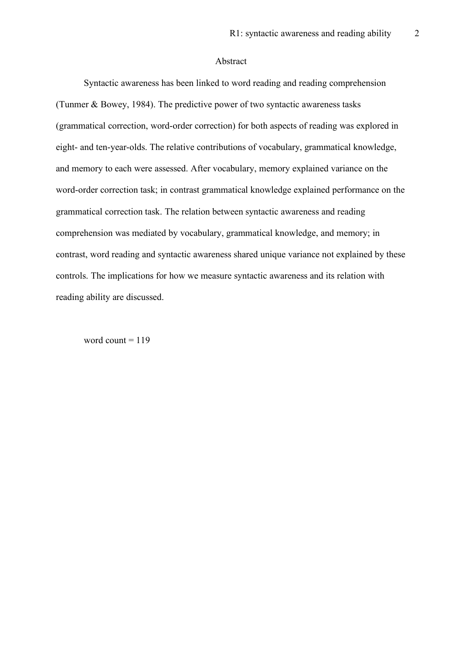#### Abstract

Syntactic awareness has been linked to word reading and reading comprehension (Tunmer & Bowey, 1984). The predictive power of two syntactic awareness tasks (grammatical correction, word-order correction) for both aspects of reading was explored in eight- and ten-year-olds. The relative contributions of vocabulary, grammatical knowledge, and memory to each were assessed. After vocabulary, memory explained variance on the word-order correction task; in contrast grammatical knowledge explained performance on the grammatical correction task. The relation between syntactic awareness and reading comprehension was mediated by vocabulary, grammatical knowledge, and memory; in contrast, word reading and syntactic awareness shared unique variance not explained by these controls. The implications for how we measure syntactic awareness and its relation with reading ability are discussed.

word count  $= 119$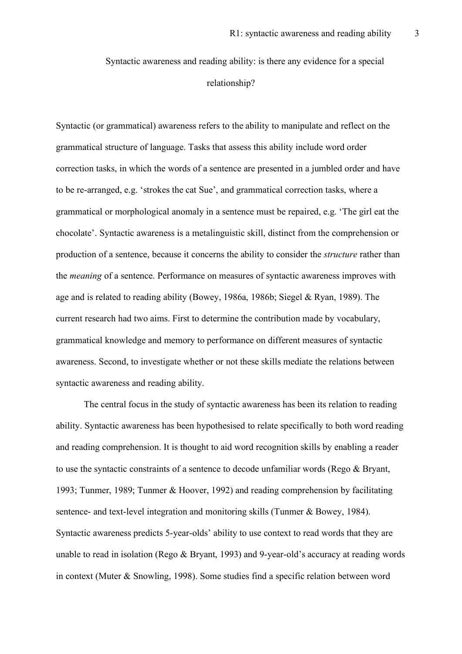Syntactic awareness and reading ability: is there any evidence for a special relationship?

Syntactic (or grammatical) awareness refers to the ability to manipulate and reflect on the grammatical structure of language. Tasks that assess this ability include word order correction tasks, in which the words of a sentence are presented in a jumbled order and have to be re-arranged, e.g. 'strokes the cat Sue', and grammatical correction tasks, where a grammatical or morphological anomaly in a sentence must be repaired, e.g. 'The girl eat the chocolate'. Syntactic awareness is a metalinguistic skill, distinct from the comprehension or production of a sentence, because it concerns the ability to consider the *structure* rather than the *meaning* of a sentence. Performance on measures of syntactic awareness improves with age and is related to reading ability (Bowey, 1986a, 1986b; Siegel & Ryan, 1989). The current research had two aims. First to determine the contribution made by vocabulary, grammatical knowledge and memory to performance on different measures of syntactic awareness. Second, to investigate whether or not these skills mediate the relations between syntactic awareness and reading ability.

The central focus in the study of syntactic awareness has been its relation to reading ability. Syntactic awareness has been hypothesised to relate specifically to both word reading and reading comprehension. It is thought to aid word recognition skills by enabling a reader to use the syntactic constraints of a sentence to decode unfamiliar words (Rego & Bryant, 1993; Tunmer, 1989; Tunmer & Hoover, 1992) and reading comprehension by facilitating sentence- and text-level integration and monitoring skills (Tunmer & Bowey, 1984). Syntactic awareness predicts 5-year-olds' ability to use context to read words that they are unable to read in isolation (Rego & Bryant, 1993) and 9-year-old's accuracy at reading words in context (Muter & Snowling, 1998). Some studies find a specific relation between word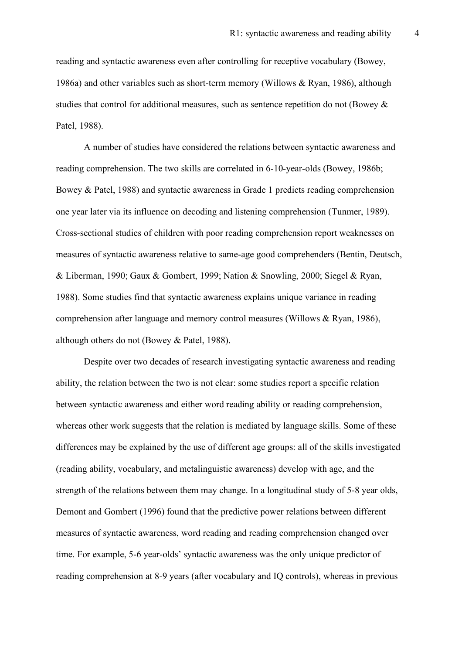reading and syntactic awareness even after controlling for receptive vocabulary (Bowey, 1986a) and other variables such as short-term memory (Willows & Ryan, 1986), although studies that control for additional measures, such as sentence repetition do not (Bowey & Patel, 1988).

A number of studies have considered the relations between syntactic awareness and reading comprehension. The two skills are correlated in 6-10-year-olds (Bowey, 1986b; Bowey & Patel, 1988) and syntactic awareness in Grade 1 predicts reading comprehension one year later via its influence on decoding and listening comprehension (Tunmer, 1989). Cross-sectional studies of children with poor reading comprehension report weaknesses on measures of syntactic awareness relative to same-age good comprehenders (Bentin, Deutsch, & Liberman, 1990; Gaux & Gombert, 1999; Nation & Snowling, 2000; Siegel & Ryan, 1988). Some studies find that syntactic awareness explains unique variance in reading comprehension after language and memory control measures (Willows & Ryan, 1986), although others do not (Bowey & Patel, 1988).

Despite over two decades of research investigating syntactic awareness and reading ability, the relation between the two is not clear: some studies report a specific relation between syntactic awareness and either word reading ability or reading comprehension, whereas other work suggests that the relation is mediated by language skills. Some of these differences may be explained by the use of different age groups: all of the skills investigated (reading ability, vocabulary, and metalinguistic awareness) develop with age, and the strength of the relations between them may change. In a longitudinal study of 5-8 year olds, Demont and Gombert (1996) found that the predictive power relations between different measures of syntactic awareness, word reading and reading comprehension changed over time. For example, 5-6 year-olds' syntactic awareness was the only unique predictor of reading comprehension at 8-9 years (after vocabulary and IQ controls), whereas in previous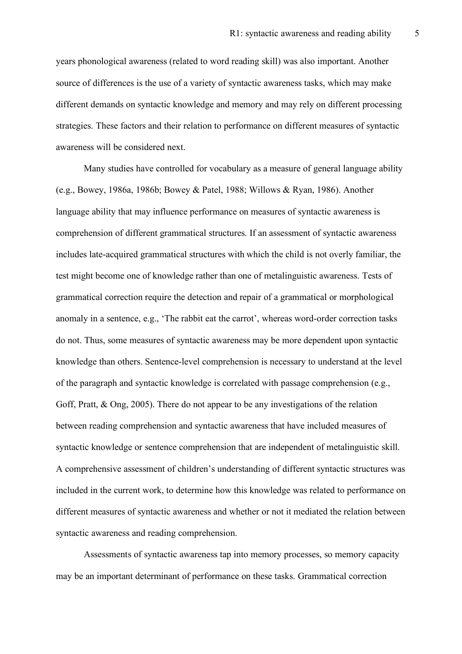years phonological awareness (related to word reading skill) was also important. Another source of differences is the use of a variety of syntactic awareness tasks, which may make different demands on syntactic knowledge and memory and may rely on different processing strategies. These factors and their relation to performance on different measures of syntactic awareness will be considered next.

Many studies have controlled for vocabulary as a measure of general language ability (e.g., Bowey, 1986a, 1986b; Bowey & Patel, 1988; Willows & Ryan, 1986). Another language ability that may influence performance on measures of syntactic awareness is comprehension of different grammatical structures. If an assessment of syntactic awareness includes late-acquired grammatical structures with which the child is not overly familiar, the test might become one of knowledge rather than one of metalinguistic awareness. Tests of grammatical correction require the detection and repair of a grammatical or morphological anomaly in a sentence, e.g., 'The rabbit eat the carrot', whereas word-order correction tasks do not. Thus, some measures of syntactic awareness may be more dependent upon syntactic knowledge than others. Sentence-level comprehension is necessary to understand at the level of the paragraph and syntactic knowledge is correlated with passage comprehension (e.g., Goff, Pratt, & Ong, 2005). There do not appear to be any investigations of the relation between reading comprehension and syntactic awareness that have included measures of syntactic knowledge or sentence comprehension that are independent of metalinguistic skill. A comprehensive assessment of children's understanding of different syntactic structures was included in the current work, to determine how this knowledge was related to performance on different measures of syntactic awareness and whether or not it mediated the relation between syntactic awareness and reading comprehension.

Assessments of syntactic awareness tap into memory processes, so memory capacity may be an important determinant of performance on these tasks. Grammatical correction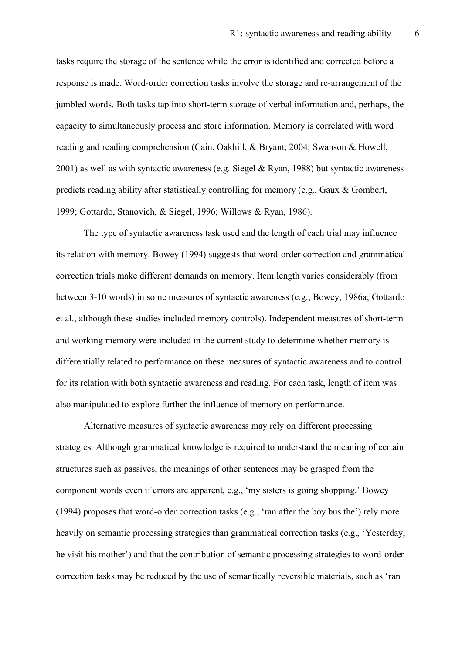tasks require the storage of the sentence while the error is identified and corrected before a response is made. Word-order correction tasks involve the storage and re-arrangement of the jumbled words. Both tasks tap into short-term storage of verbal information and, perhaps, the capacity to simultaneously process and store information. Memory is correlated with word reading and reading comprehension (Cain, Oakhill, & Bryant, 2004; Swanson & Howell,  $2001$ ) as well as with syntactic awareness (e.g. Siegel & Ryan, 1988) but syntactic awareness predicts reading ability after statistically controlling for memory (e.g., Gaux & Gombert, 1999; Gottardo, Stanovich, & Siegel, 1996; Willows & Ryan, 1986).

The type of syntactic awareness task used and the length of each trial may influence its relation with memory. Bowey (1994) suggests that word-order correction and grammatical correction trials make different demands on memory. Item length varies considerably (from between 3-10 words) in some measures of syntactic awareness (e.g., Bowey, 1986a; Gottardo et al., although these studies included memory controls). Independent measures of short-term and working memory were included in the current study to determine whether memory is differentially related to performance on these measures of syntactic awareness and to control for its relation with both syntactic awareness and reading. For each task, length of item was also manipulated to explore further the influence of memory on performance.

Alternative measures of syntactic awareness may rely on different processing strategies. Although grammatical knowledge is required to understand the meaning of certain structures such as passives, the meanings of other sentences may be grasped from the component words even if errors are apparent, e.g., 'my sisters is going shopping.' Bowey (1994) proposes that word-order correction tasks (e.g., 'ran after the boy bus the') rely more heavily on semantic processing strategies than grammatical correction tasks (e.g., 'Yesterday, he visit his mother') and that the contribution of semantic processing strategies to word-order correction tasks may be reduced by the use of semantically reversible materials, such as 'ran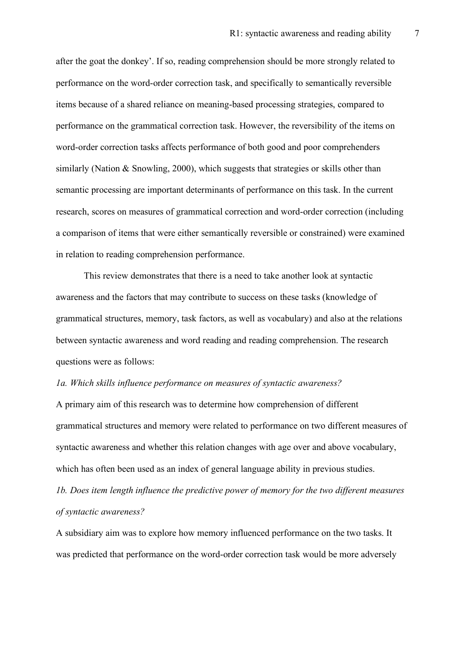after the goat the donkey'. If so, reading comprehension should be more strongly related to performance on the word-order correction task, and specifically to semantically reversible items because of a shared reliance on meaning-based processing strategies, compared to performance on the grammatical correction task. However, the reversibility of the items on word-order correction tasks affects performance of both good and poor comprehenders similarly (Nation & Snowling, 2000), which suggests that strategies or skills other than semantic processing are important determinants of performance on this task. In the current research, scores on measures of grammatical correction and word-order correction (including a comparison of items that were either semantically reversible or constrained) were examined in relation to reading comprehension performance.

This review demonstrates that there is a need to take another look at syntactic awareness and the factors that may contribute to success on these tasks (knowledge of grammatical structures, memory, task factors, as well as vocabulary) and also at the relations between syntactic awareness and word reading and reading comprehension. The research questions were as follows:

#### *1a. Which skills influence performance on measures of syntactic awareness?*

A primary aim of this research was to determine how comprehension of different grammatical structures and memory were related to performance on two different measures of syntactic awareness and whether this relation changes with age over and above vocabulary, which has often been used as an index of general language ability in previous studies.

*1b. Does item length influence the predictive power of memory for the two different measures of syntactic awareness?* 

A subsidiary aim was to explore how memory influenced performance on the two tasks. It was predicted that performance on the word-order correction task would be more adversely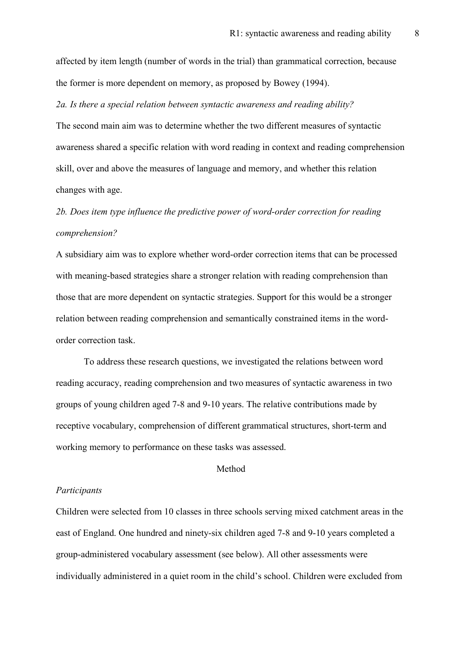affected by item length (number of words in the trial) than grammatical correction, because the former is more dependent on memory, as proposed by Bowey (1994).

*2a. Is there a special relation between syntactic awareness and reading ability?*

The second main aim was to determine whether the two different measures of syntactic awareness shared a specific relation with word reading in context and reading comprehension skill, over and above the measures of language and memory, and whether this relation changes with age.

# *2b. Does item type influence the predictive power of word-order correction for reading comprehension?*

A subsidiary aim was to explore whether word-order correction items that can be processed with meaning-based strategies share a stronger relation with reading comprehension than those that are more dependent on syntactic strategies. Support for this would be a stronger relation between reading comprehension and semantically constrained items in the wordorder correction task.

To address these research questions, we investigated the relations between word reading accuracy, reading comprehension and two measures of syntactic awareness in two groups of young children aged 7-8 and 9-10 years. The relative contributions made by receptive vocabulary, comprehension of different grammatical structures, short-term and working memory to performance on these tasks was assessed.

#### Method

#### *Participants*

Children were selected from 10 classes in three schools serving mixed catchment areas in the east of England. One hundred and ninety-six children aged 7-8 and 9-10 years completed a group-administered vocabulary assessment (see below). All other assessments were individually administered in a quiet room in the child's school. Children were excluded from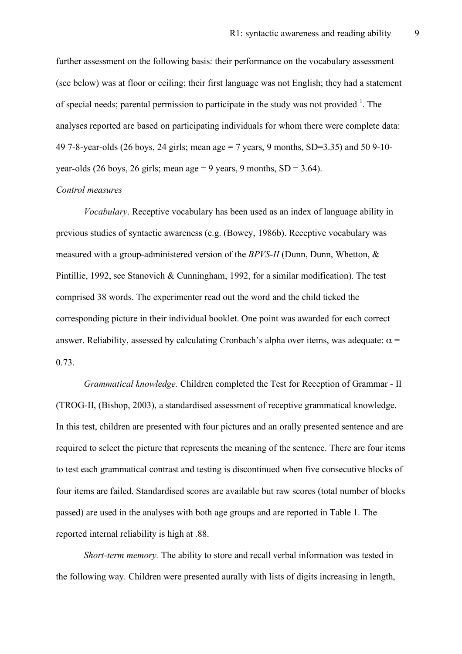further assessment on the following basis: their performance on the vocabulary assessment (see below) was at floor or ceiling; their first language was not English; they had a statement of special needs; parental permission to participate in the study was not provided  $<sup>1</sup>$ . The</sup> analyses reported are based on participating individuals for whom there were complete data: 49 7-8-year-olds (26 boys, 24 girls; mean age = 7 years, 9 months, SD=3.35) and 50 9-10 year-olds (26 boys, 26 girls; mean age = 9 years, 9 months,  $SD = 3.64$ ).

#### *Control measures*

*Vocabulary*. Receptive vocabulary has been used as an index of language ability in previous studies of syntactic awareness (e.g. (Bowey, 1986b). Receptive vocabulary was measured with a group-administered version of the *BPVS-II* (Dunn, Dunn, Whetton, & Pintillie, 1992, see Stanovich & Cunningham, 1992, for a similar modification). The test comprised 38 words. The experimenter read out the word and the child ticked the corresponding picture in their individual booklet. One point was awarded for each correct answer. Reliability, assessed by calculating Cronbach's alpha over items, was adequate:  $\alpha$  = 0.73.

*Grammatical knowledge.* Children completed the Test for Reception of Grammar - II (TROG-II, (Bishop, 2003), a standardised assessment of receptive grammatical knowledge. In this test, children are presented with four pictures and an orally presented sentence and are required to select the picture that represents the meaning of the sentence. There are four items to test each grammatical contrast and testing is discontinued when five consecutive blocks of four items are failed. Standardised scores are available but raw scores (total number of blocks passed) are used in the analyses with both age groups and are reported in Table 1. The reported internal reliability is high at .88.

*Short-term memory.* The ability to store and recall verbal information was tested in the following way. Children were presented aurally with lists of digits increasing in length,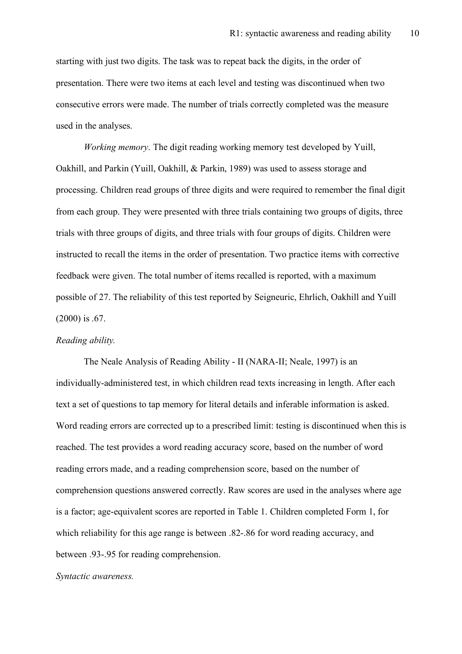starting with just two digits. The task was to repeat back the digits, in the order of presentation. There were two items at each level and testing was discontinued when two consecutive errors were made. The number of trials correctly completed was the measure used in the analyses.

*Working memory*. The digit reading working memory test developed by Yuill, Oakhill, and Parkin (Yuill, Oakhill, & Parkin, 1989) was used to assess storage and processing. Children read groups of three digits and were required to remember the final digit from each group. They were presented with three trials containing two groups of digits, three trials with three groups of digits, and three trials with four groups of digits. Children were instructed to recall the items in the order of presentation. Two practice items with corrective feedback were given. The total number of items recalled is reported, with a maximum possible of 27. The reliability of this test reported by Seigneuric, Ehrlich, Oakhill and Yuill (2000) is .67.

#### *Reading ability.*

The Neale Analysis of Reading Ability - II (NARA-II; Neale, 1997) is an individually-administered test, in which children read texts increasing in length. After each text a set of questions to tap memory for literal details and inferable information is asked. Word reading errors are corrected up to a prescribed limit: testing is discontinued when this is reached. The test provides a word reading accuracy score, based on the number of word reading errors made, and a reading comprehension score, based on the number of comprehension questions answered correctly. Raw scores are used in the analyses where age is a factor; age-equivalent scores are reported in Table 1. Children completed Form 1, for which reliability for this age range is between .82-.86 for word reading accuracy, and between .93-.95 for reading comprehension.

#### *Syntactic awareness.*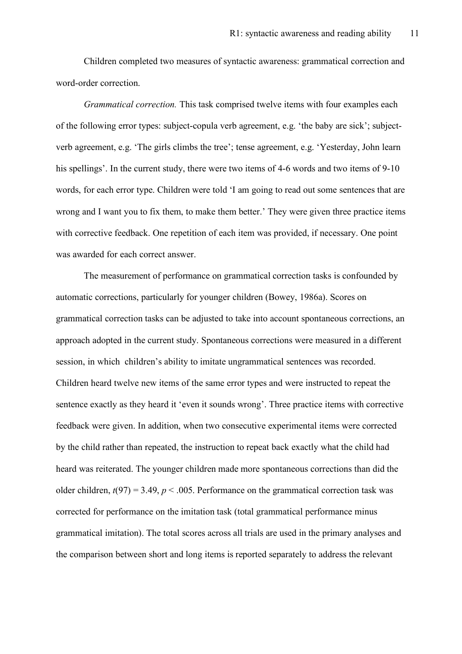Children completed two measures of syntactic awareness: grammatical correction and word-order correction.

*Grammatical correction.* This task comprised twelve items with four examples each of the following error types: subject-copula verb agreement, e.g. 'the baby are sick'; subjectverb agreement, e.g. 'The girls climbs the tree'; tense agreement, e.g. 'Yesterday, John learn his spellings'. In the current study, there were two items of 4-6 words and two items of 9-10 words, for each error type. Children were told 'I am going to read out some sentences that are wrong and I want you to fix them, to make them better.' They were given three practice items with corrective feedback. One repetition of each item was provided, if necessary. One point was awarded for each correct answer.

The measurement of performance on grammatical correction tasks is confounded by automatic corrections, particularly for younger children (Bowey, 1986a). Scores on grammatical correction tasks can be adjusted to take into account spontaneous corrections, an approach adopted in the current study. Spontaneous corrections were measured in a different session, in which children's ability to imitate ungrammatical sentences was recorded. Children heard twelve new items of the same error types and were instructed to repeat the sentence exactly as they heard it 'even it sounds wrong'. Three practice items with corrective feedback were given. In addition, when two consecutive experimental items were corrected by the child rather than repeated, the instruction to repeat back exactly what the child had heard was reiterated. The younger children made more spontaneous corrections than did the older children,  $t(97) = 3.49$ ,  $p < .005$ . Performance on the grammatical correction task was corrected for performance on the imitation task (total grammatical performance minus grammatical imitation). The total scores across all trials are used in the primary analyses and the comparison between short and long items is reported separately to address the relevant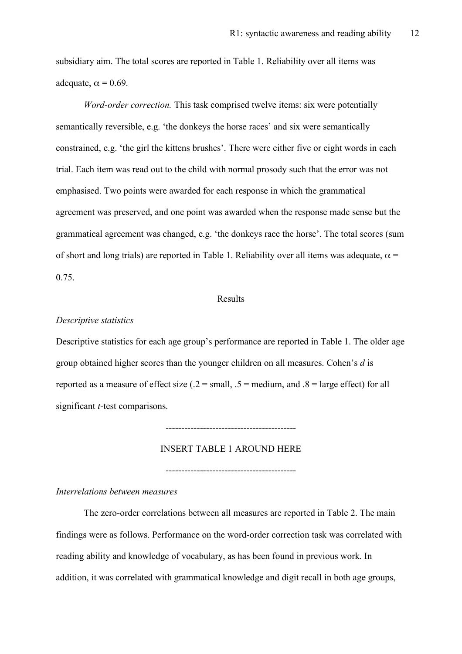subsidiary aim. The total scores are reported in Table 1. Reliability over all items was adequate,  $\alpha = 0.69$ .

*Word-order correction.* This task comprised twelve items: six were potentially semantically reversible, e.g. 'the donkeys the horse races' and six were semantically constrained, e.g. 'the girl the kittens brushes'. There were either five or eight words in each trial. Each item was read out to the child with normal prosody such that the error was not emphasised. Two points were awarded for each response in which the grammatical agreement was preserved, and one point was awarded when the response made sense but the grammatical agreement was changed, e.g. 'the donkeys race the horse'. The total scores (sum of short and long trials) are reported in Table 1. Reliability over all items was adequate,  $\alpha$  = 0.75.

#### Results

#### *Descriptive statistics*

Descriptive statistics for each age group's performance are reported in Table 1. The older age group obtained higher scores than the younger children on all measures. Cohen's *d* is reported as a measure of effect size ( $.2$  = small,  $.5$  = medium, and  $.8$  = large effect) for all significant *t*-test comparisons.

------------------------------------------

INSERT TABLE 1 AROUND HERE

------------------------------------------

## *Interrelations between measures*

The zero-order correlations between all measures are reported in Table 2. The main findings were as follows. Performance on the word-order correction task was correlated with reading ability and knowledge of vocabulary, as has been found in previous work. In addition, it was correlated with grammatical knowledge and digit recall in both age groups,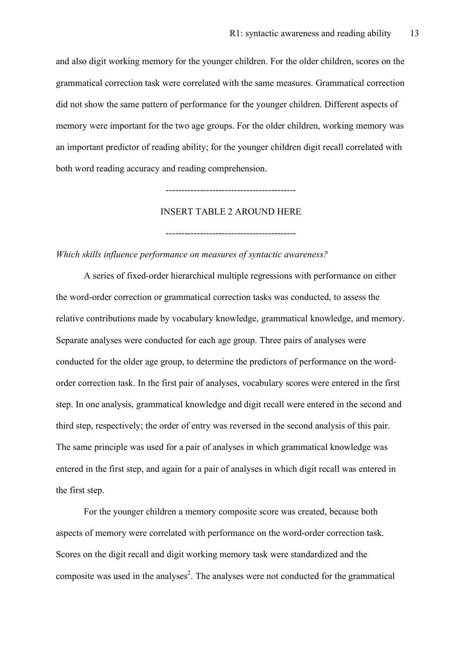and also digit working memory for the younger children. For the older children, scores on the grammatical correction task were correlated with the same measures. Grammatical correction did not show the same pattern of performance for the younger children. Different aspects of memory were important for the two age groups. For the older children, working memory was an important predictor of reading ability; for the younger children digit recall correlated with both word reading accuracy and reading comprehension.

# INSERT TABLE 2 AROUND HERE

------------------------------------------

------------------------------------------

*Which skills influence performance on measures of syntactic awareness?*

A series of fixed-order hierarchical multiple regressions with performance on either the word-order correction or grammatical correction tasks was conducted, to assess the relative contributions made by vocabulary knowledge, grammatical knowledge, and memory. Separate analyses were conducted for each age group. Three pairs of analyses were conducted for the older age group, to determine the predictors of performance on the wordorder correction task. In the first pair of analyses, vocabulary scores were entered in the first step. In one analysis, grammatical knowledge and digit recall were entered in the second and third step, respectively; the order of entry was reversed in the second analysis of this pair. The same principle was used for a pair of analyses in which grammatical knowledge was entered in the first step, and again for a pair of analyses in which digit recall was entered in the first step.

For the younger children a memory composite score was created, because both aspects of memory were correlated with performance on the word-order correction task. Scores on the digit recall and digit working memory task were standardized and the composite was used in the analyses 2 . The analyses were not conducted for the grammatical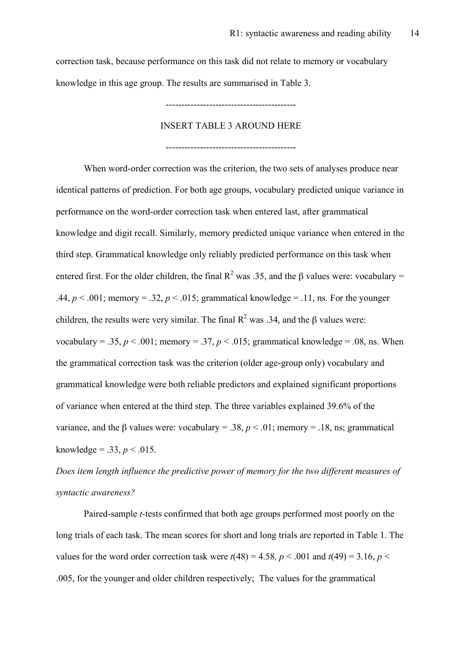correction task, because performance on this task did not relate to memory or vocabulary knowledge in this age group. The results are summarised in Table 3.

------------------------------------------

### INSERT TABLE 3 AROUND HERE

------------------------------------------

When word-order correction was the criterion, the two sets of analyses produce near identical patterns of prediction. For both age groups, vocabulary predicted unique variance in performance on the word-order correction task when entered last, after grammatical knowledge and digit recall. Similarly, memory predicted unique variance when entered in the third step. Grammatical knowledge only reliably predicted performance on this task when entered first. For the older children, the final  $R^2$  was .35, and the  $\beta$  values were: vocabulary = .44,  $p < .001$ ; memory = .32,  $p < .015$ ; grammatical knowledge = .11, ns. For the younger children, the results were very similar. The final  $R^2$  was .34, and the β values were: vocabulary = .35,  $p < .001$ ; memory = .37,  $p < .015$ ; grammatical knowledge = .08, ns. When the grammatical correction task was the criterion (older age-group only) vocabulary and grammatical knowledge were both reliable predictors and explained significant proportions of variance when entered at the third step. The three variables explained 39.6% of the variance, and the β values were: vocabulary = .38,  $p < .01$ ; memory = .18, ns; grammatical knowledge = .33,  $p < .015$ .

*Does item length influence the predictive power of memory for the two different measures of syntactic awareness?* 

Paired-sample *t*-tests confirmed that both age groups performed most poorly on the long trials of each task. The mean scores for short and long trials are reported in Table 1. The values for the word order correction task were  $t(48) = 4.58$ ,  $p < .001$  and  $t(49) = 3.16$ ,  $p <$ .005, for the younger and older children respectively; The values for the grammatical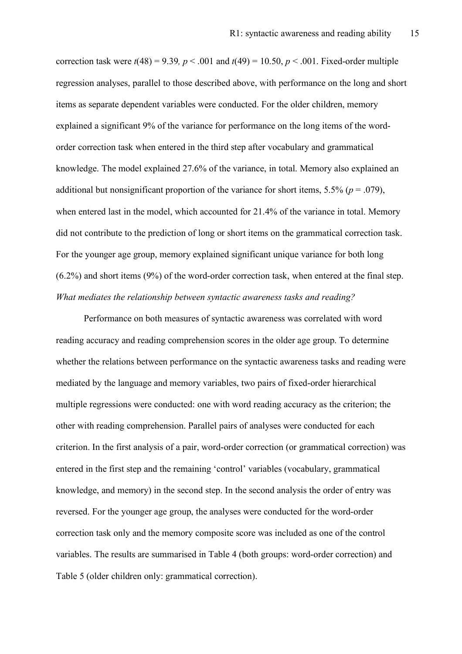correction task were  $t(48) = 9.39$ ,  $p < .001$  and  $t(49) = 10.50$ ,  $p < .001$ . Fixed-order multiple regression analyses, parallel to those described above, with performance on the long and short items as separate dependent variables were conducted. For the older children, memory explained a significant 9% of the variance for performance on the long items of the wordorder correction task when entered in the third step after vocabulary and grammatical knowledge. The model explained 27.6% of the variance, in total. Memory also explained an additional but nonsignificant proportion of the variance for short items,  $5.5\%$  ( $p = .079$ ), when entered last in the model, which accounted for 21.4% of the variance in total. Memory did not contribute to the prediction of long or short items on the grammatical correction task. For the younger age group, memory explained significant unique variance for both long (6.2%) and short items (9%) of the word-order correction task, when entered at the final step. *What mediates the relationship between syntactic awareness tasks and reading?* 

Performance on both measures of syntactic awareness was correlated with word reading accuracy and reading comprehension scores in the older age group. To determine whether the relations between performance on the syntactic awareness tasks and reading were mediated by the language and memory variables, two pairs of fixed-order hierarchical multiple regressions were conducted: one with word reading accuracy as the criterion; the other with reading comprehension. Parallel pairs of analyses were conducted for each criterion. In the first analysis of a pair, word-order correction (or grammatical correction) was entered in the first step and the remaining 'control' variables (vocabulary, grammatical knowledge, and memory) in the second step. In the second analysis the order of entry was reversed. For the younger age group, the analyses were conducted for the word-order correction task only and the memory composite score was included as one of the control variables. The results are summarised in Table 4 (both groups: word-order correction) and Table 5 (older children only: grammatical correction).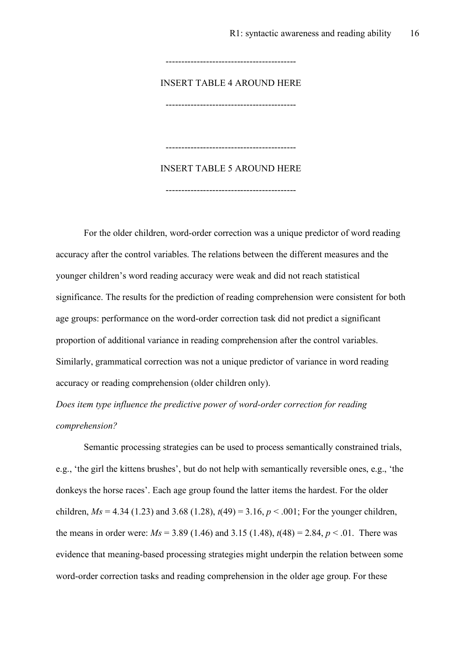INSERT TABLE 4 AROUND HERE

------------------------------------------

------------------------------------------

INSERT TABLE 5 AROUND HERE

------------------------------------------

------------------------------------------

For the older children, word-order correction was a unique predictor of word reading accuracy after the control variables. The relations between the different measures and the younger children's word reading accuracy were weak and did not reach statistical significance. The results for the prediction of reading comprehension were consistent for both age groups: performance on the word-order correction task did not predict a significant proportion of additional variance in reading comprehension after the control variables. Similarly, grammatical correction was not a unique predictor of variance in word reading accuracy or reading comprehension (older children only).

*Does item type influence the predictive power of word-order correction for reading comprehension?* 

Semantic processing strategies can be used to process semantically constrained trials, e.g., 'the girl the kittens brushes', but do not help with semantically reversible ones, e.g., 'the donkeys the horse races'. Each age group found the latter items the hardest. For the older children,  $Ms = 4.34$  (1.23) and 3.68 (1.28),  $t(49) = 3.16$ ,  $p < .001$ ; For the younger children, the means in order were:  $Ms = 3.89$  (1.46) and 3.15 (1.48),  $t(48) = 2.84$ ,  $p < .01$ . There was evidence that meaning-based processing strategies might underpin the relation between some word-order correction tasks and reading comprehension in the older age group. For these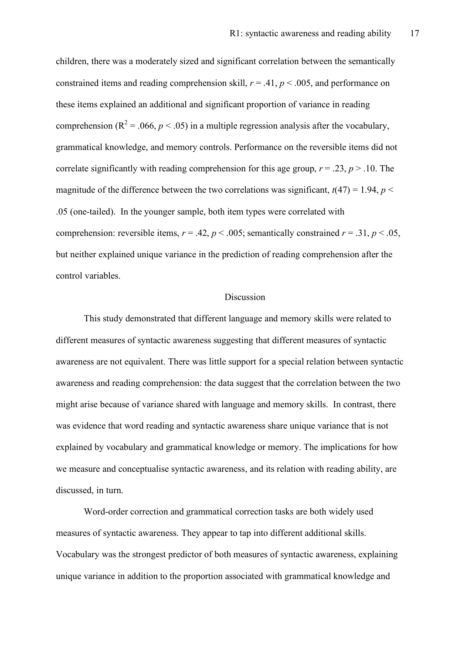children, there was a moderately sized and significant correlation between the semantically constrained items and reading comprehension skill,  $r = .41$ ,  $p < .005$ , and performance on these items explained an additional and significant proportion of variance in reading comprehension ( $R^2$  = .066, *p* < .05) in a multiple regression analysis after the vocabulary, grammatical knowledge, and memory controls. Performance on the reversible items did not correlate significantly with reading comprehension for this age group,  $r = .23$ ,  $p > .10$ . The magnitude of the difference between the two correlations was significant,  $t(47) = 1.94$ ,  $p <$ .05 (one-tailed). In the younger sample, both item types were correlated with comprehension: reversible items,  $r = .42$ ,  $p < .005$ ; semantically constrained  $r = .31$ ,  $p < .05$ , but neither explained unique variance in the prediction of reading comprehension after the control variables.

#### Discussion

This study demonstrated that different language and memory skills were related to different measures of syntactic awareness suggesting that different measures of syntactic awareness are not equivalent. There was little support for a special relation between syntactic awareness and reading comprehension: the data suggest that the correlation between the two might arise because of variance shared with language and memory skills. In contrast, there was evidence that word reading and syntactic awareness share unique variance that is not explained by vocabulary and grammatical knowledge or memory. The implications for how we measure and conceptualise syntactic awareness, and its relation with reading ability, are discussed, in turn.

Word-order correction and grammatical correction tasks are both widely used measures of syntactic awareness. They appear to tap into different additional skills. Vocabulary was the strongest predictor of both measures of syntactic awareness, explaining unique variance in addition to the proportion associated with grammatical knowledge and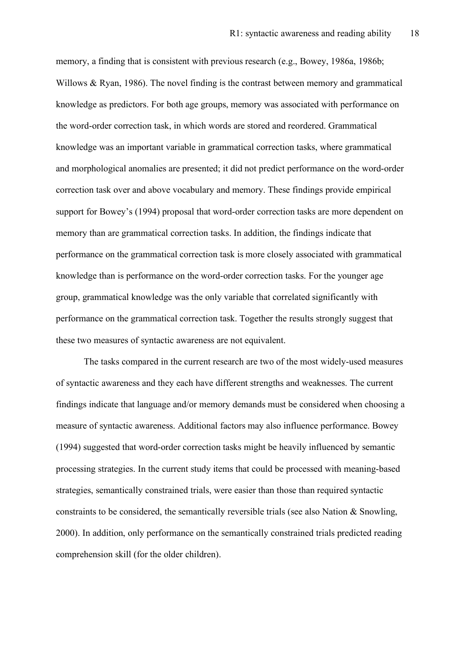memory, a finding that is consistent with previous research (e.g., Bowey, 1986a, 1986b; Willows & Ryan, 1986). The novel finding is the contrast between memory and grammatical knowledge as predictors. For both age groups, memory was associated with performance on the word-order correction task, in which words are stored and reordered. Grammatical knowledge was an important variable in grammatical correction tasks, where grammatical and morphological anomalies are presented; it did not predict performance on the word-order correction task over and above vocabulary and memory. These findings provide empirical support for Bowey's (1994) proposal that word-order correction tasks are more dependent on memory than are grammatical correction tasks. In addition, the findings indicate that performance on the grammatical correction task is more closely associated with grammatical knowledge than is performance on the word-order correction tasks. For the younger age group, grammatical knowledge was the only variable that correlated significantly with performance on the grammatical correction task. Together the results strongly suggest that these two measures of syntactic awareness are not equivalent.

The tasks compared in the current research are two of the most widely-used measures of syntactic awareness and they each have different strengths and weaknesses. The current findings indicate that language and/or memory demands must be considered when choosing a measure of syntactic awareness. Additional factors may also influence performance. Bowey (1994) suggested that word-order correction tasks might be heavily influenced by semantic processing strategies. In the current study items that could be processed with meaning-based strategies, semantically constrained trials, were easier than those than required syntactic constraints to be considered, the semantically reversible trials (see also Nation  $\&$  Snowling, 2000). In addition, only performance on the semantically constrained trials predicted reading comprehension skill (for the older children).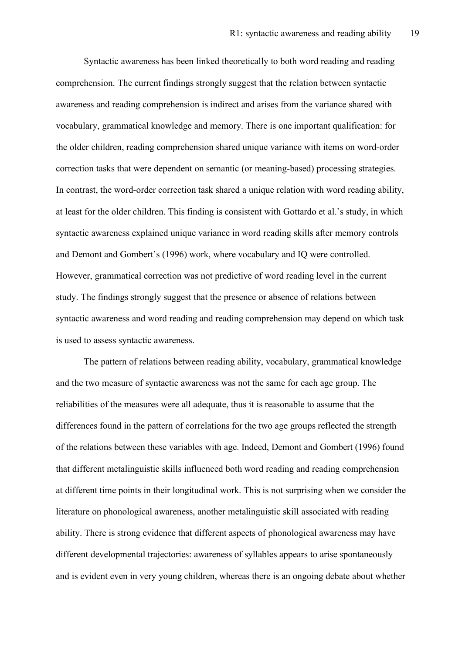Syntactic awareness has been linked theoretically to both word reading and reading comprehension. The current findings strongly suggest that the relation between syntactic awareness and reading comprehension is indirect and arises from the variance shared with vocabulary, grammatical knowledge and memory. There is one important qualification: for the older children, reading comprehension shared unique variance with items on word-order correction tasks that were dependent on semantic (or meaning-based) processing strategies. In contrast, the word-order correction task shared a unique relation with word reading ability, at least for the older children. This finding is consistent with Gottardo et al.'s study, in which syntactic awareness explained unique variance in word reading skills after memory controls and Demont and Gombert's (1996) work, where vocabulary and IQ were controlled. However, grammatical correction was not predictive of word reading level in the current study. The findings strongly suggest that the presence or absence of relations between syntactic awareness and word reading and reading comprehension may depend on which task is used to assess syntactic awareness.

The pattern of relations between reading ability, vocabulary, grammatical knowledge and the two measure of syntactic awareness was not the same for each age group. The reliabilities of the measures were all adequate, thus it is reasonable to assume that the differences found in the pattern of correlations for the two age groups reflected the strength of the relations between these variables with age. Indeed, Demont and Gombert (1996) found that different metalinguistic skills influenced both word reading and reading comprehension at different time points in their longitudinal work. This is not surprising when we consider the literature on phonological awareness, another metalinguistic skill associated with reading ability. There is strong evidence that different aspects of phonological awareness may have different developmental trajectories: awareness of syllables appears to arise spontaneously and is evident even in very young children, whereas there is an ongoing debate about whether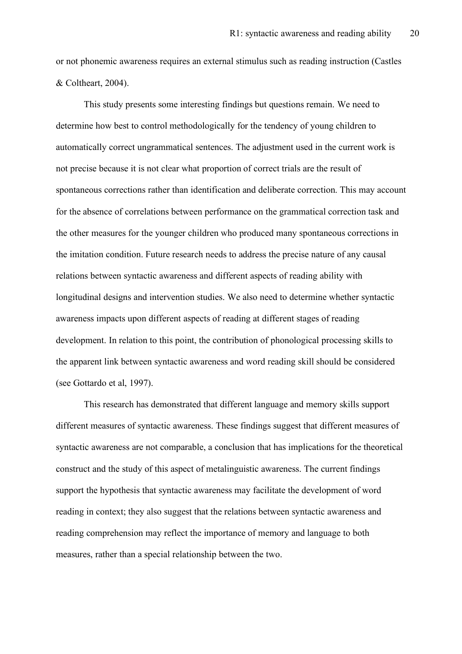or not phonemic awareness requires an external stimulus such as reading instruction (Castles & Coltheart, 2004).

This study presents some interesting findings but questions remain. We need to determine how best to control methodologically for the tendency of young children to automatically correct ungrammatical sentences. The adjustment used in the current work is not precise because it is not clear what proportion of correct trials are the result of spontaneous corrections rather than identification and deliberate correction. This may account for the absence of correlations between performance on the grammatical correction task and the other measures for the younger children who produced many spontaneous corrections in the imitation condition. Future research needs to address the precise nature of any causal relations between syntactic awareness and different aspects of reading ability with longitudinal designs and intervention studies. We also need to determine whether syntactic awareness impacts upon different aspects of reading at different stages of reading development. In relation to this point, the contribution of phonological processing skills to the apparent link between syntactic awareness and word reading skill should be considered (see Gottardo et al, 1997).

This research has demonstrated that different language and memory skills support different measures of syntactic awareness. These findings suggest that different measures of syntactic awareness are not comparable, a conclusion that has implications for the theoretical construct and the study of this aspect of metalinguistic awareness. The current findings support the hypothesis that syntactic awareness may facilitate the development of word reading in context; they also suggest that the relations between syntactic awareness and reading comprehension may reflect the importance of memory and language to both measures, rather than a special relationship between the two.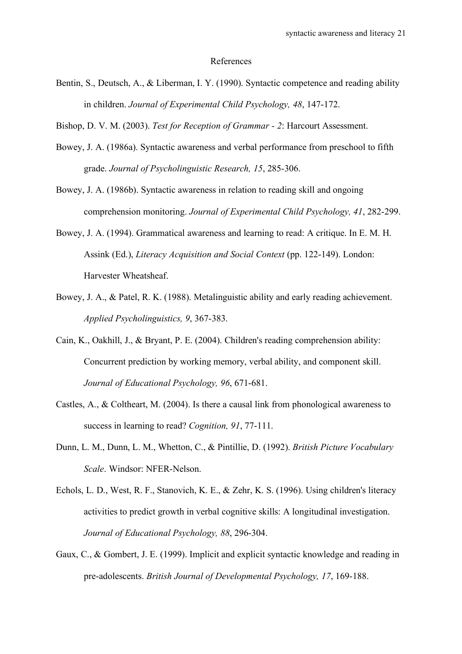#### References

- Bentin, S., Deutsch, A., & Liberman, I. Y. (1990). Syntactic competence and reading ability in children. *Journal of Experimental Child Psychology, 48*, 147-172.
- Bishop, D. V. M. (2003). *Test for Reception of Grammar - 2*: Harcourt Assessment.
- Bowey, J. A. (1986a). Syntactic awareness and verbal performance from preschool to fifth grade. *Journal of Psycholinguistic Research, 15*, 285-306.
- Bowey, J. A. (1986b). Syntactic awareness in relation to reading skill and ongoing comprehension monitoring. *Journal of Experimental Child Psychology, 41*, 282-299.
- Bowey, J. A. (1994). Grammatical awareness and learning to read: A critique. In E. M. H. Assink (Ed.), *Literacy Acquisition and Social Context* (pp. 122-149). London: Harvester Wheatsheaf.
- Bowey, J. A., & Patel, R. K. (1988). Metalinguistic ability and early reading achievement. *Applied Psycholinguistics, 9*, 367-383.
- Cain, K., Oakhill, J., & Bryant, P. E. (2004). Children's reading comprehension ability: Concurrent prediction by working memory, verbal ability, and component skill. *Journal of Educational Psychology, 96*, 671-681.
- Castles, A., & Coltheart, M. (2004). Is there a causal link from phonological awareness to success in learning to read? *Cognition, 91*, 77-111.
- Dunn, L. M., Dunn, L. M., Whetton, C., & Pintillie, D. (1992). *British Picture Vocabulary Scale*. Windsor: NFER-Nelson.
- Echols, L. D., West, R. F., Stanovich, K. E., & Zehr, K. S. (1996). Using children's literacy activities to predict growth in verbal cognitive skills: A longitudinal investigation. *Journal of Educational Psychology, 88*, 296-304.
- Gaux, C., & Gombert, J. E. (1999). Implicit and explicit syntactic knowledge and reading in pre-adolescents. *British Journal of Developmental Psychology, 17*, 169-188.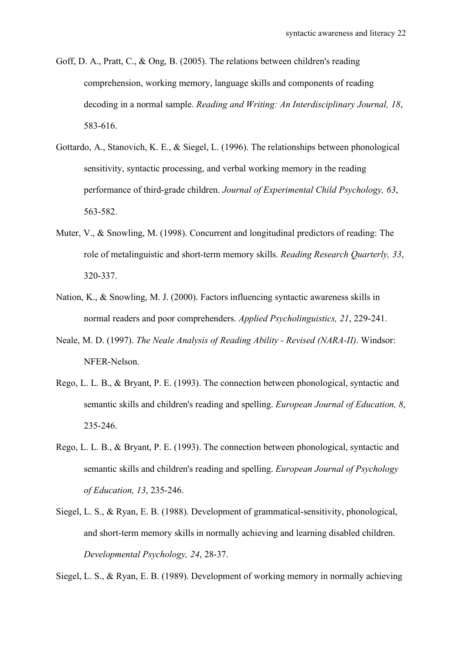- Goff, D. A., Pratt, C., & Ong, B. (2005). The relations between children's reading comprehension, working memory, language skills and components of reading decoding in a normal sample. *Reading and Writing: An Interdisciplinary Journal, 18*, 583-616.
- Gottardo, A., Stanovich, K. E., & Siegel, L. (1996). The relationships between phonological sensitivity, syntactic processing, and verbal working memory in the reading performance of third-grade children. *Journal of Experimental Child Psychology, 63*, 563-582.
- Muter, V., & Snowling, M. (1998). Concurrent and longitudinal predictors of reading: The role of metalinguistic and short-term memory skills. *Reading Research Quarterly, 33*, 320-337.
- Nation, K., & Snowling, M. J. (2000). Factors influencing syntactic awareness skills in normal readers and poor comprehenders. *Applied Psycholinguistics, 21*, 229-241.
- Neale, M. D. (1997). *The Neale Analysis of Reading Ability - Revised (NARA-II)*. Windsor: NFER-Nelson.
- Rego, L. L. B., & Bryant, P. E. (1993). The connection between phonological, syntactic and semantic skills and children's reading and spelling. *European Journal of Education, 8*, 235-246.
- Rego, L. L. B., & Bryant, P. E. (1993). The connection between phonological, syntactic and semantic skills and children's reading and spelling. *European Journal of Psychology of Education, 13*, 235-246.
- Siegel, L. S., & Ryan, E. B. (1988). Development of grammatical-sensitivity, phonological, and short-term memory skills in normally achieving and learning disabled children. *Developmental Psychology, 24*, 28-37.

Siegel, L. S., & Ryan, E. B. (1989). Development of working memory in normally achieving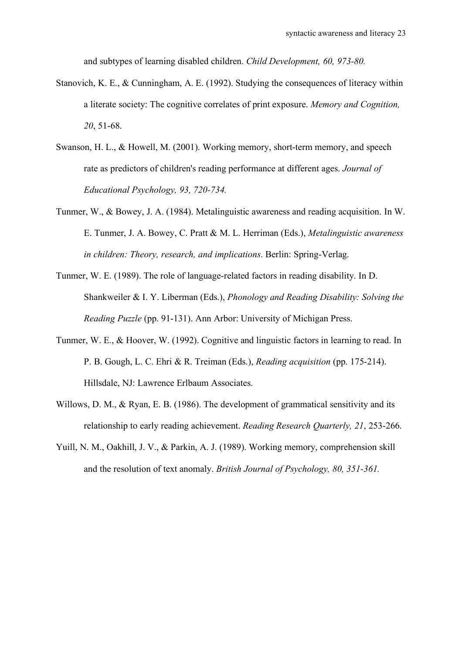and subtypes of learning disabled children. *Child Development, 60, 973-80.*

- Stanovich, K. E., & Cunningham, A. E. (1992). Studying the consequences of literacy within a literate society: The cognitive correlates of print exposure. *Memory and Cognition, 20*, 51-68.
- Swanson, H. L., & Howell, M. (2001). Working memory, short-term memory, and speech rate as predictors of children's reading performance at different ages. *Journal of Educational Psychology, 93, 720-734.*
- Tunmer, W., & Bowey, J. A. (1984). Metalinguistic awareness and reading acquisition. In W. E. Tunmer, J. A. Bowey, C. Pratt & M. L. Herriman (Eds.), *Metalinguistic awareness in children: Theory, research, and implications*. Berlin: Spring-Verlag.
- Tunmer, W. E. (1989). The role of language-related factors in reading disability. In D. Shankweiler & I. Y. Liberman (Eds.), *Phonology and Reading Disability: Solving the Reading Puzzle* (pp. 91-131). Ann Arbor: University of Michigan Press.
- Tunmer, W. E., & Hoover, W. (1992). Cognitive and linguistic factors in learning to read. In P. B. Gough, L. C. Ehri & R. Treiman (Eds.), *Reading acquisition* (pp. 175-214). Hillsdale, NJ: Lawrence Erlbaum Associates.
- Willows, D. M., & Ryan, E. B. (1986). The development of grammatical sensitivity and its relationship to early reading achievement. *Reading Research Quarterly, 21*, 253-266.
- Yuill, N. M., Oakhill, J. V., & Parkin, A. J. (1989). Working memory, comprehension skill and the resolution of text anomaly. *British Journal of Psychology, 80, 351-361.*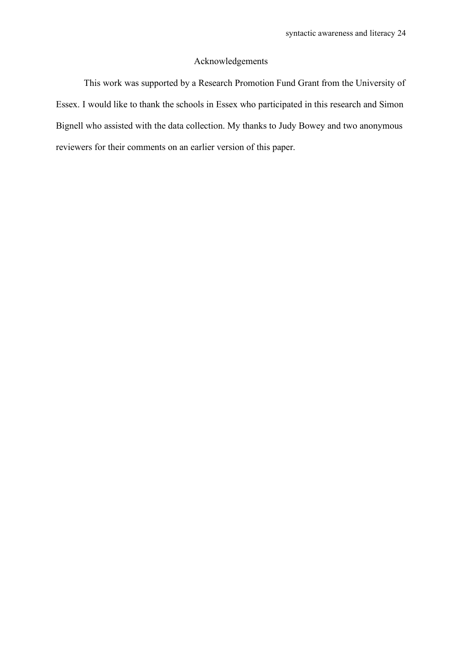#### Acknowledgements

This work was supported by a Research Promotion Fund Grant from the University of Essex. I would like to thank the schools in Essex who participated in this research and Simon Bignell who assisted with the data collection. My thanks to Judy Bowey and two anonymous reviewers for their comments on an earlier version of this paper.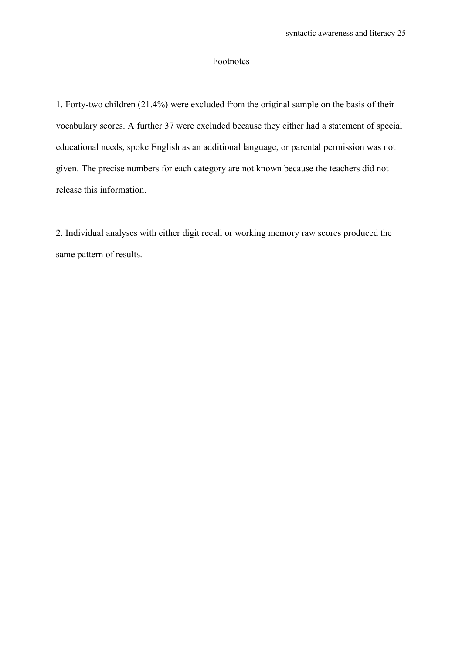#### Footnotes

1. Forty-two children (21.4%) were excluded from the original sample on the basis of their vocabulary scores. A further 37 were excluded because they either had a statement of special educational needs, spoke English as an additional language, or parental permission was not given. The precise numbers for each category are not known because the teachers did not release this information.

2. Individual analyses with either digit recall or working memory raw scores produced the same pattern of results.